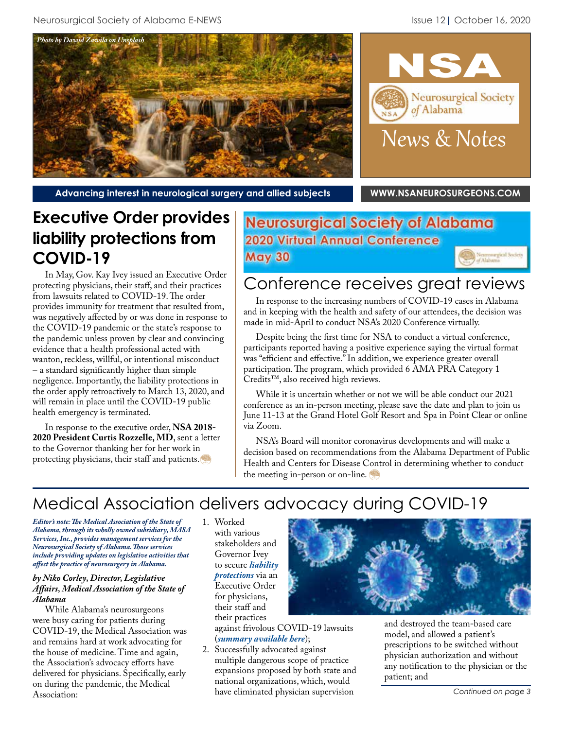



**Advancing interest in neurological surgery and allied subjects [WWW.NSANEUROSURGEONS.COM](http://www.nsaneurosurgeons.com)**

# **Executive Order provides liability protections from COVID-19**

In May, Gov. Kay Ivey issued an Executive Order protecting physicians, their staff, and their practices from lawsuits related to COVID-19. The order provides immunity for treatment that resulted from, was negatively affected by or was done in response to the COVID-19 pandemic or the state's response to the pandemic unless proven by clear and convincing evidence that a health professional acted with wanton, reckless, willful, or intentional misconduct – a standard significantly higher than simple negligence. Importantly, the liability protections in the order apply retroactively to March 13, 2020, and will remain in place until the COVID-19 public health emergency is terminated.

In response to the executive order, **NSA 2018- 2020 President Curtis Rozzelle, MD**, sent a letter to the Governor thanking her for her work in protecting physicians, their staff and patients.

## **Neurosurgical Society of Alabama 2020 Virtual Annual Conference May 30**

# Conference receives great reviews

In response to the increasing numbers of COVID-19 cases in Alabama and in keeping with the health and safety of our attendees, the decision was made in mid-April to conduct NSA's 2020 Conference virtually.

Despite being the first time for NSA to conduct a virtual conference, participants reported having a positive experience saying the virtual format was "efficient and effective." In addition, we experience greater overall participation. The program, which provided 6 AMA PRA Category 1 Credits™, also received high reviews.

While it is uncertain whether or not we will be able conduct our 2021 conference as an in-person meeting, please save the date and plan to join us June 11-13 at the Grand Hotel Golf Resort and Spa in Point Clear or online via Zoom.

NSA's Board will monitor coronavirus developments and will make a decision based on recommendations from the Alabama Department of Public Health and Centers for Disease Control in determining whether to conduct the meeting in-person or on-line.

## Medical Association delivers advocacy during COVID-19

*Editor's note: The Medical Association of the State of Alabama, through its wholly owned subsidiary, MASA Services, Inc., provides management services for the Neurosurgical Society of Alabama. Those services include providing updates on legislative activities that affect the practice of neurosurgery in Alabama.*

#### *by Niko Corley, Director, Legislative Affairs, Medical Association of the State of Alabama*

While Alabama's neurosurgeons were busy caring for patients during COVID-19, the Medical Association was and remains hard at work advocating for the house of medicine. Time and again, the Association's advocacy efforts have delivered for physicians. Specifically, early on during the pandemic, the Medical Association:

1. Worked with various stakeholders and Governor Ivey to secure *liability [protections](https://alabamamedicine.org/gov-ivey-provides-physicians-liability-protections-from-covid-19/)* via an Executive Order for physicians, their staff and their practices

against frivolous COVID-19 lawsuits (*[summary available here](https://alabamamedicine.org/summary-of-liability-protection-from-starnes-davis-florie-llp/)*);

2. Successfully advocated against multiple dangerous scope of practice expansions proposed by both state and national organizations, which, would have eliminated physician supervision



and destroyed the team-based care model, and allowed a patient's prescriptions to be switched without physician authorization and without any notification to the physician or the patient; and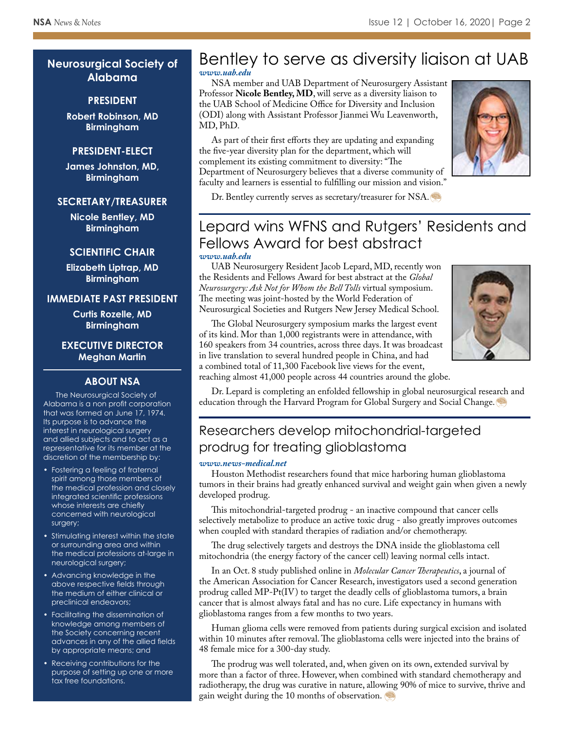### **Neurosurgical Society of Alabama**

### **PRESIDENT**

**Robert Robinson, MD Birmingham**

### **PRESIDENT-ELECT**

**James Johnston, MD, Birmingham**

### **SECRETARY/TREASURER**

**Nicole Bentley, MD Birmingham**

### **SCIENTIFIC CHAIR**

**Elizabeth Liptrap, MD Birmingham**

### **IMMEDIATE PAST PRESIDENT**

**Curtis Rozelle, MD Birmingham**

**EXECUTIVE DIRECTOR Meghan Martin**

### **ABOUT NSA**

The Neurosurgical Society of Alabama is a non profit corporation that was formed on June 17, 1974. Its purpose is to advance the interest in neurological surgery and allied subjects and to act as a representative for its member at the discretion of the membership by:

- Fostering a feeling of fraternal spirit among those members of the medical profession and closely integrated scientific professions whose interests are chiefly concerned with neurological surgery;
- Stimulating interest within the state or surrounding area and within the medical professions at-large in neurological surgery;
- Advancing knowledge in the above respective fields through the medium of either clinical or preclinical endeavors;
- Facilitating the dissemination of knowledge among members of the Society concerning recent advances in any of the allied fields by appropriate means; and
- Receiving contributions for the purpose of setting up one or more tax free foundations.

### Bentley to serve as diversity liaison at UAB *[www.uab.edu](https://www.uab.edu/medicine/neurosurgery/news-events/department-news/296-bentley-and-leavenworth-to-serve-as-diversity-liaisons-young-as-admin-coordinator)*

NSA member and UAB Department of Neurosurgery Assistant Professor **Nicole Bentley, MD**, will serve as a diversity liaison to the UAB School of Medicine Office for Diversity and Inclusion (ODI) along with Assistant Professor Jianmei Wu Leavenworth, MD, PhD.

As part of their first efforts they are updating and expanding the five-year diversity plan for the department, which will complement its existing commitment to diversity: "The Department of Neurosurgery believes that a diverse community of faculty and learners is essential to fulfilling our mission and vision."



Dr. Bentley currently serves as secretary/treasurer for NSA.

### Lepard wins WFNS and Rutgers' Residents and Fellows Award for best abstract *[www.uab.edu](https://www.uab.edu/medicine/neurosurgery/news-events/department-news/298-lepard-wins-wfns-and-rutgers-residents-and-fellows-award-for-best-abstract)*

UAB Neurosurgery Resident Jacob Lepard, MD, recently won the Residents and Fellows Award for best abstract at the *Global Neurosurgery: Ask Not for Whom the Bell Tolls* virtual symposium. The meeting was joint-hosted by the World Federation of Neurosurgical Societies and Rutgers New Jersey Medical School.



The Global Neurosurgery symposium marks the largest event of its kind. Mor than 1,000 registrants were in attendance, with 160 speakers from 34 countries, across three days. It was broadcast in live translation to several hundred people in China, and had a combined total of 11,300 Facebook live views for the event,

reaching almost 41,000 people across 44 countries around the globe.

Dr. Lepard is completing an enfolded fellowship in global neurosurgical research and education through the Harvard Program for Global Surgery and Social Change.

## Researchers develop mitochondrial-targeted prodrug for treating glioblastoma

#### *[www.news-medical.net](https://www.news-medical.net/news/20201009/Researchers-develop-mitochondrial-targeted-prodrug-for-treating-glioblastoma.aspx)*

Houston Methodist researchers found that mice harboring human glioblastoma tumors in their brains had greatly enhanced survival and weight gain when given a newly developed prodrug.

This mitochondrial-targeted prodrug - an inactive compound that cancer cells selectively metabolize to produce an active toxic drug - also greatly improves outcomes when coupled with standard therapies of radiation and/or chemotherapy.

The drug selectively targets and destroys the DNA inside the glioblastoma cell mitochondria (the energy factory of the cancer cell) leaving normal cells intact.

In an Oct. 8 study published online in *Molecular Cancer Therapeutics*, a journal of the American Association for Cancer Research, investigators used a second generation prodrug called MP-Pt(IV) to target the deadly cells of glioblastoma tumors, a brain cancer that is almost always fatal and has no cure. Life expectancy in humans with glioblastoma ranges from a few months to two years.

Human glioma cells were removed from patients during surgical excision and isolated within 10 minutes after removal. The glioblastoma cells were injected into the brains of 48 female mice for a 300-day study.

The prodrug was well tolerated, and, when given on its own, extended survival by more than a factor of three. However, when combined with standard chemotherapy and radiotherapy, the drug was curative in nature, allowing 90% of mice to survive, thrive and gain weight during the 10 months of observation.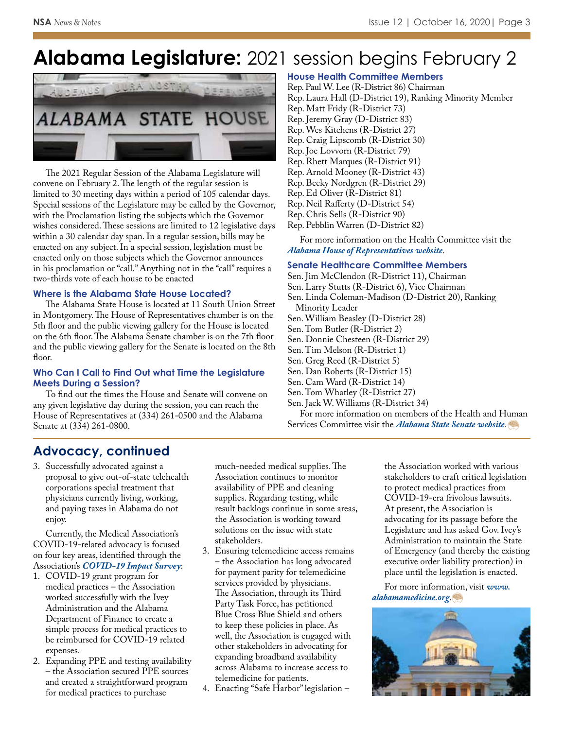# **Alabama Legislature:** 2021 session begins February 2



The 2021 Regular Session of the Alabama Legislature will convene on February 2. The length of the regular session is limited to 30 meeting days within a period of 105 calendar days. Special sessions of the Legislature may be called by the Governor, with the Proclamation listing the subjects which the Governor wishes considered. These sessions are limited to 12 legislative days within a 30 calendar day span. In a regular session, bills may be enacted on any subject. In a special session, legislation must be enacted only on those subjects which the Governor announces in his proclamation or "call." Anything not in the "call" requires a two-thirds vote of each house to be enacted

### **Where is the Alabama State House Located?**

The Alabama State House is located at 11 South Union Street in Montgomery. The House of Representatives chamber is on the 5th floor and the public viewing gallery for the House is located on the 6th floor. The Alabama Senate chamber is on the 7th floor and the public viewing gallery for the Senate is located on the 8th floor.

### **Who Can I Call to Find Out what Time the Legislature Meets During a Session?**

To find out the times the House and Senate will convene on any given legislative day during the session, you can reach the House of Representatives at (334) 261-0500 and the Alabama Senate at (334) 261-0800.

### **House Health Committee Members**

Rep. Paul W. Lee (R-District 86) Chairman Rep. Laura Hall (D-District 19), Ranking Minority Member Rep. Matt Fridy (R-District 73) Rep. Jeremy Gray (D-District 83) Rep. Wes Kitchens (R-District 27) Rep. Craig Lipscomb (R-District 30) Rep. Joe Lovvorn (R-District 79) Rep. Rhett Marques (R-District 91) Rep. Arnold Mooney (R-District 43) Rep. Becky Nordgren (R-District 29) Rep. Ed Oliver (R-District 81) Rep. Neil Rafferty (D-District 54) Rep. Chris Sells (R-District 90) Rep. Pebblin Warren (D-District 82)

For more information on the Health Committee visit the *[Alabama House of Representatives website](http://www.legislature.state.al.us/aliswww/ISD/Splash_House.aspx)*.

### **Senate Healthcare Committee Members**

Sen. Jim McClendon (R-District 11), Chairman Sen. Larry Stutts (R-District 6), Vice Chairman Sen. Linda Coleman-Madison (D-District 20), Ranking Minority Leader Sen. William Beasley (D-District 28) Sen. Tom Butler (R-District 2) Sen. Donnie Chesteen (R-District 29) Sen. Tim Melson (R-District 1) Sen. Greg Reed (R-District 5) Sen. Dan Roberts (R-District 15) Sen. Cam Ward (R-District 14) Sen. Tom Whatley (R-District 27) Sen. Jack W. Williams (R-District 34) For more information on members of the Health and Human

Services Committee visit the *[Alabama State Senate website](http://www.legislature.state.al.us/aliswww/ISD/Splash_Senate.aspx)*.

### **Advocacy, continued**

3. Successfully advocated against a proposal to give out-of-state telehealth corporations special treatment that physicians currently living, working, and paying taxes in Alabama do not enjoy.

Currently, the Medical Association's COVID-19-related advocacy is focused on four key areas, identified through the Association's *[COVID-19 Impact Survey](https://alabamamedicine.org/wp-content/uploads/2020/08/2020-MASA-COVID-Financial_Impact_Survey_Report.pdf)*:

- 1. COVID-19 grant program for medical practices – the Association worked successfully with the Ivey Administration and the Alabama Department of Finance to create a simple process for medical practices to be reimbursed for COVID-19 related expenses.
- 2. Expanding PPE and testing availability – the Association secured PPE sources and created a straightforward program for medical practices to purchase

much-needed medical supplies. The Association continues to monitor availability of PPE and cleaning supplies. Regarding testing, while result backlogs continue in some areas, the Association is working toward solutions on the issue with state stakeholders.

- 3. Ensuring telemedicine access remains – the Association has long advocated for payment parity for telemedicine services provided by physicians. The Association, through its Third Party Task Force, has petitioned Blue Cross Blue Shield and others to keep these policies in place. As well, the Association is engaged with other stakeholders in advocating for expanding broadband availability across Alabama to increase access to telemedicine for patients.
- 4. Enacting "Safe Harbor" legislation –

the Association worked with various stakeholders to craft critical legislation to protect medical practices from COVID-19-era frivolous lawsuits. At present, the Association is advocating for its passage before the Legislature and has asked Gov. Ivey's Administration to maintain the State of Emergency (and thereby the existing executive order liability protection) in place until the legislation is enacted.

[For more information, visit](http://www.alabamamedicine.org) *www. alabamamedicine.org*.